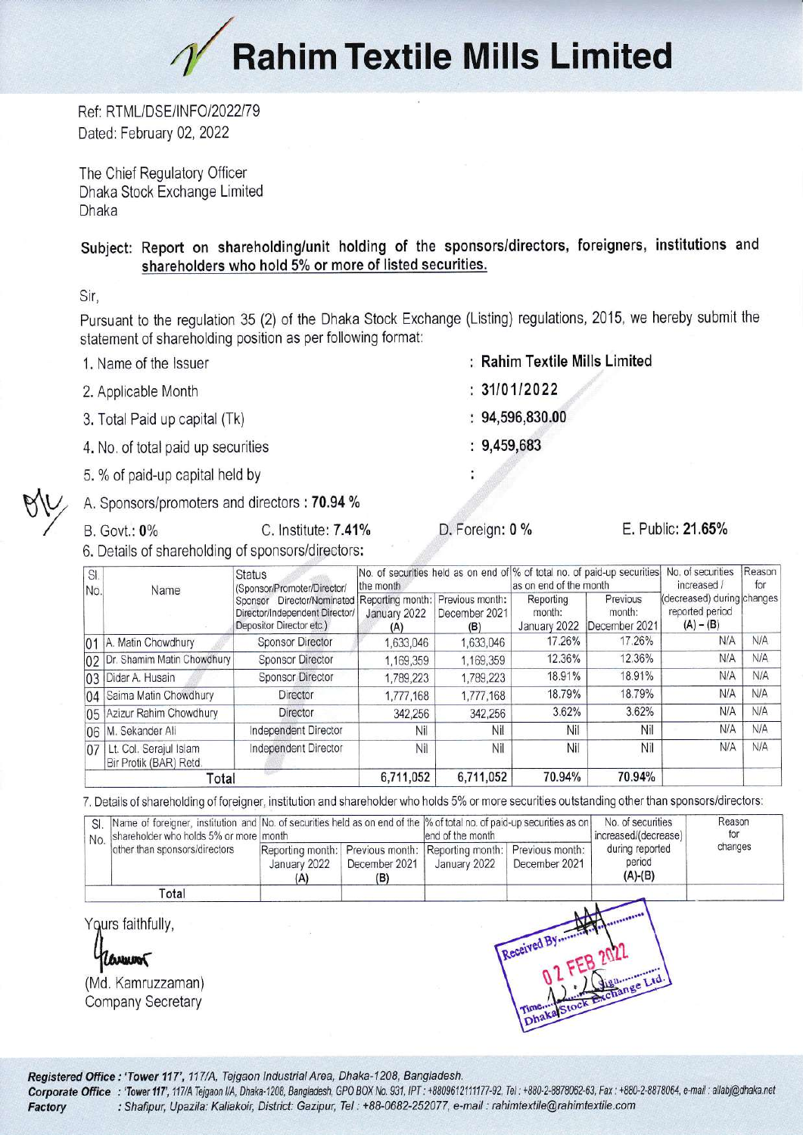## / **Rahim Textile Mills Limited**

Ref: RTML/DSE/INFO/2022/79 Dated: February 02, 2022

The Chief Regulatory Officer Dhaka Stock Exchange Limited Dhaka

## Subject: Report on shareholding/unit holding of the sponsors/directors, foreigners, institutions and shareholders who hold 5% or more of listed securities.

Sir,

Pursuant to the regulation 35 (2) of the Dhaka Stock Exchange (Listing) regulations, 2015, we hereby submit the statement of shareholding position as per following format:

- 1. Name of the lssuer
- 2. Applicable Month
- 3. Total Paid up capital (Tk)
- 4. No. of total paid up securities
- 5. % of paid-up capital held by

A. Sponsors/promoters and directors : 70.94 %<br>
B. Govt.: 0% C. Institute: 7.41% D. Foreign: 0 % E. Public: 21.65%

6, Details of shareholding of sponsors/directors:

| SI.<br>No. | Name                                             | <b>Status</b><br>(Sponsor/Promoter/Director/<br>Director/Nominated Reporting month: Previous month:<br>Sponsor<br>Director/Independent Director/<br>Depositor Director etc.) | No. of securities held as on end of % of total no. of paid-up securities<br>the month |                      | as on end of the month              |                                     | No. of securities<br>increased /                             | Reason<br>for |
|------------|--------------------------------------------------|------------------------------------------------------------------------------------------------------------------------------------------------------------------------------|---------------------------------------------------------------------------------------|----------------------|-------------------------------------|-------------------------------------|--------------------------------------------------------------|---------------|
|            |                                                  |                                                                                                                                                                              | January 2022<br>(A)                                                                   | December 2021<br>(B) | Reporting<br>month:<br>January 2022 | Previous<br>month:<br>December 2021 | (decreased) during changes<br>reported period<br>$(A) - (B)$ |               |
|            | 01   A. Matin Chowdhury                          | <b>Sponsor Director</b>                                                                                                                                                      | 1,633,046                                                                             | 1,633,046            | 17.26%                              | 17.26%                              | N/A                                                          | N/A           |
|            | 02 Dr. Shamim Matin Chowdhury                    | <b>Sponsor Director</b>                                                                                                                                                      | 1,169,359                                                                             | 1,169,359            | 12.36%                              | 12.36%                              | N/A                                                          | N/A           |
|            | 03 Didar A. Husain                               | <b>Sponsor Director</b>                                                                                                                                                      | 1,789,223                                                                             | 1,789,223            | 18.91%                              | 18.91%                              | N/A                                                          | N/A           |
|            | 04 Saima Matin Chowdhury                         | Director                                                                                                                                                                     | 1,777,168                                                                             | 1,777,168            | 18.79%                              | 18.79%                              | N/A                                                          | <b>N/A</b>    |
|            | 05 Azizur Rahim Chowdhury                        | <b>Director</b>                                                                                                                                                              | 342,256                                                                               | 342,256              | 3.62%                               | 3.62%                               | N/A                                                          | <b>N/A</b>    |
|            | 06 M. Sekander Ali                               | Independent Director                                                                                                                                                         | Nil                                                                                   | Nil                  | Nil                                 | Nil                                 | N/A                                                          | N/A           |
| 07         | Lt. Col. Serajul Islam<br>Bir Protik (BAR) Retd. | Independent Director                                                                                                                                                         | Nil                                                                                   | Nil                  | Nil                                 | Nil                                 | N/A                                                          | N/A           |
| Total      |                                                  |                                                                                                                                                                              | 6,711,052                                                                             | 6,711,052            | 70.94%                              | 70.94%                              |                                                              |               |

7. Details of shareholding of foreigner, institution and shareholder who holds 5% or more securities outstanding other than sponsors/directors:

| SI.<br>No. | shareholder who holds 5% or more month<br>other than sponsors/directors |                                         |                                         | Name of foreigner, institution and No. of securities held as on end of the % of total no. of paid-up securities as on<br>lend of the month |                                  | No. of securities<br>increased/(decrease) | Reason<br>for |
|------------|-------------------------------------------------------------------------|-----------------------------------------|-----------------------------------------|--------------------------------------------------------------------------------------------------------------------------------------------|----------------------------------|-------------------------------------------|---------------|
|            |                                                                         | Reporting month:<br>January 2022<br>(A) | Previous month:<br>December 2021<br>(B) | Reporting month:<br>January 2022                                                                                                           | Previous month:<br>December 2021 | during reported<br>period<br>$(A)-(B)$    | changes       |
|            | Total                                                                   |                                         |                                         |                                                                                                                                            |                                  |                                           |               |
|            | Yours faithfully,<br>Reviewon                                           |                                         |                                         |                                                                                                                                            | Received By                      |                                           |               |
|            | (Md. Kamruzzaman)<br><b>Company Secretary</b>                           |                                         |                                         |                                                                                                                                            |                                  | I Time. A Signamere Ltd.                  |               |

Registered Office: 'Tower 117', 117/A, Tejgaon Industrial Area, Dhaka-1208, Bangladesh.<br>Corporate Office: 'Tower 117', 117/A Tejgaon I/A, Dhaka-1208, Bangladesh, GPO BOX No. 931, IPT: +8809612111177-92, Tel: +880-2-8878062 Factory : Shafipur, Upazila: Kaliakoir, District: Gazipur, Tel : +88-0682-252077, e-mail : rahintextile@rahimtextile.com

- Rahim Textile Mills Limited
- $: 31/01/2022$
- 94,596,830.00
- 9,459,683

÷